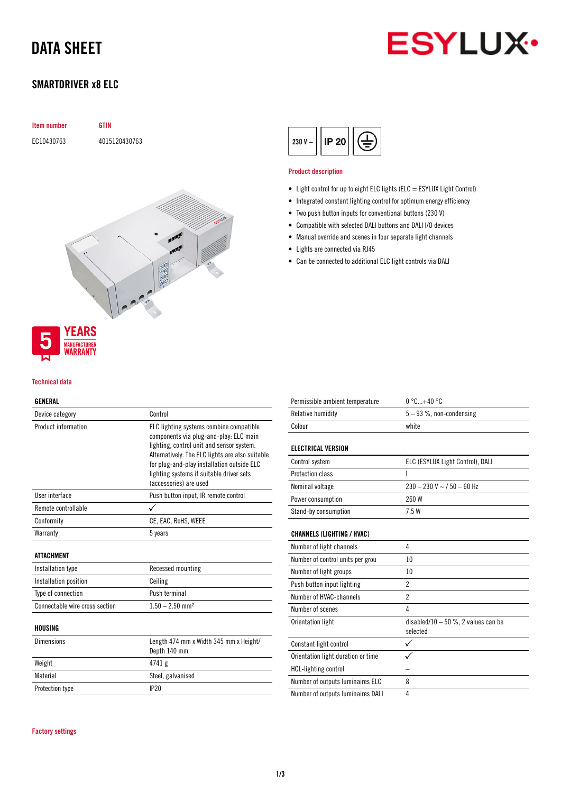## DATA SHEET



## SMARTDRIVER x8 ELC



## Technical data

### GENERAL

| Device category                | Control                                                                                                                                                                                                                                                                                               |
|--------------------------------|-------------------------------------------------------------------------------------------------------------------------------------------------------------------------------------------------------------------------------------------------------------------------------------------------------|
| Product information            | ELC lighting systems combine compatible<br>components via plug-and-play: ELC main<br>lighting, control unit and sensor system.<br>Alternatively: The ELC lights are also suitable<br>for plug-and-play installation outside ELC<br>lighting systems if suitable driver sets<br>(accessories) are used |
| User interface                 | Push button input, IR remote control                                                                                                                                                                                                                                                                  |
| Remote controllable            |                                                                                                                                                                                                                                                                                                       |
| Conformity                     | CE, EAC, RoHS, WEEE                                                                                                                                                                                                                                                                                   |
| Warranty                       | 5 years                                                                                                                                                                                                                                                                                               |
| <b>ATTACHMENT</b>              |                                                                                                                                                                                                                                                                                                       |
| Installation type              | Recessed mounting                                                                                                                                                                                                                                                                                     |
| Installation position          | Ceiling                                                                                                                                                                                                                                                                                               |
| Type of connection             | Push terminal                                                                                                                                                                                                                                                                                         |
| Connectable wire cross section | $1.50 - 2.50$ mm <sup>2</sup>                                                                                                                                                                                                                                                                         |
| HOUSING                        |                                                                                                                                                                                                                                                                                                       |
| <b>Dimensions</b>              | Length 474 mm x Width 345 mm x Height/<br>Depth 140 mm                                                                                                                                                                                                                                                |
| Weight                         | 4741 g                                                                                                                                                                                                                                                                                                |
| Material                       | Steel, galvanised                                                                                                                                                                                                                                                                                     |



### Product description

- Light control for up to eight ELC lights (ELC = ESYLUX Light Control)
- Integrated constant lighting control for optimum energy efficiency
- Two push button inputs for conventional buttons (230 V)
- Compatible with selected DALI buttons and DALI I/O devices
- Manual override and scenes in four separate light channels
- Lights are connected via RJ45
- Can be connected to additional ELC light controls via DALI

| Permissible ambient temperature | $0^{\circ}$ C+40 $^{\circ}$ C |
|---------------------------------|-------------------------------|
| Relative humidity               | $5 - 93$ %, non-condensing    |
| Colour                          | white                         |
| <b>ELECTRICAL VERSION</b>       |                               |

| Control system       | ELC (ESYLUX Light Control), DALI |
|----------------------|----------------------------------|
| Protection class     |                                  |
| Nominal voltage      | $230 - 230$ V ~ $/$ 50 - 60 Hz   |
| Power consumption    | 260 W                            |
| Stand-by consumption | 75W                              |

#### CHANNELS (LIGHTING / HVAC)

| Number of light channels           | 4                                    |
|------------------------------------|--------------------------------------|
| Number of control units per grou   | 10                                   |
| Number of light groups             | 10                                   |
| Push button input lighting         | $\overline{2}$                       |
| Number of HVAC-channels            | $\overline{2}$                       |
| Number of scenes                   | 4                                    |
| Orientation light                  | disabled/10 $-50$ %, 2 values can be |
|                                    | selected                             |
| Constant light control             |                                      |
| Orientation light duration or time |                                      |
| HCL-lighting control               |                                      |
| Number of outputs luminaires ELC   | 8                                    |
| Number of outputs luminaires DALI  | 4                                    |

Protection type IP20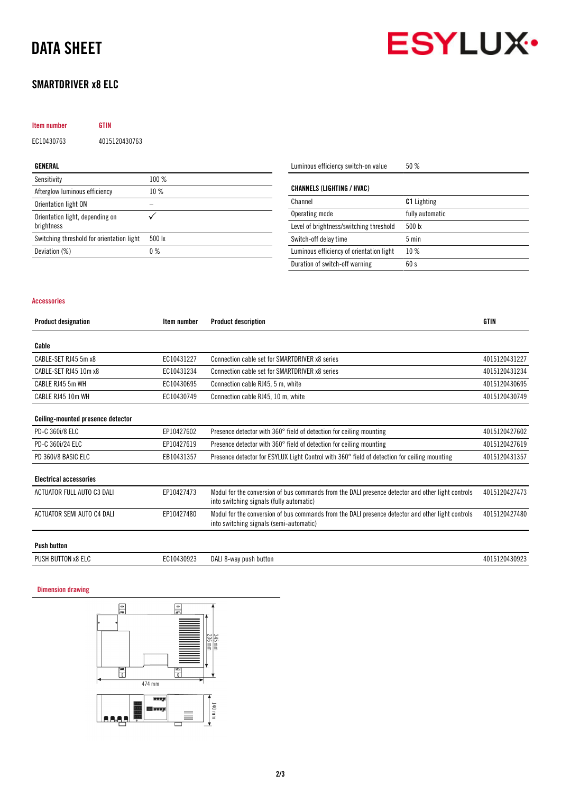## DATA SHEET

## SMARTDRIVER x8 ELC



| Item number | GTIN          |  |
|-------------|---------------|--|
| EC10430763  | 4015120430763 |  |
| GENERAL     |               |  |
| Sensitivity | $100\%$       |  |

| Sensitivity                                   | 100 %           |
|-----------------------------------------------|-----------------|
| Afterglow luminous efficiency                 | 10%             |
| Orientation light ON                          |                 |
| Orientation light, depending on<br>brightness |                 |
| Switching threshold for orientation light     | $500 \text{lx}$ |
| Deviation (%)                                 | $0\%$           |
|                                               |                 |

| Luminous efficiency switch-on value      | 50%                |
|------------------------------------------|--------------------|
| <b>CHANNELS (LIGHTING / HVAC)</b>        |                    |
|                                          |                    |
| Channel                                  | <b>C1</b> Lighting |
| Operating mode                           | fully automatic    |
| Level of brightness/switching threshold  | 500 lx             |
| Switch-off delay time                    | $5 \text{ min}$    |
| Luminous efficiency of orientation light | 10%                |
| Duration of switch-off warning           | 60 s               |

### Accessories

| <b>Product designation</b>        | Item number | <b>Product description</b>                                                                                                                    | <b>GTIN</b>   |
|-----------------------------------|-------------|-----------------------------------------------------------------------------------------------------------------------------------------------|---------------|
| Cable                             |             |                                                                                                                                               |               |
| CABLE-SET RJ45 5m x8              | EC10431227  | Connection cable set for SMARTDRIVER x8 series                                                                                                | 4015120431227 |
| CABLE-SET RJ45 10m x8             | EC10431234  | Connection cable set for SMARTDRIVER x8 series                                                                                                | 4015120431234 |
| CABLE RJ45 5m WH                  | EC10430695  | Connection cable RJ45, 5 m, white                                                                                                             | 4015120430695 |
| CABLE RJ45 10m WH                 | EC10430749  | Connection cable RJ45, 10 m, white                                                                                                            | 4015120430749 |
| Ceiling-mounted presence detector |             |                                                                                                                                               |               |
| PD-C 360i/8 ELC                   | EP10427602  | Presence detector with 360° field of detection for ceiling mounting                                                                           | 4015120427602 |
| PD-C 360i/24 ELC                  | EP10427619  | Presence detector with 360° field of detection for ceiling mounting                                                                           | 4015120427619 |
| PD 360i/8 BASIC ELC               | EB10431357  | Presence detector for ESYLUX Light Control with 360° field of detection for ceiling mounting                                                  | 4015120431357 |
| <b>Electrical accessories</b>     |             |                                                                                                                                               |               |
| ACTUATOR FULL AUTO C3 DALI        | EP10427473  | Modul for the conversion of bus commands from the DALI presence detector and other light controls<br>into switching signals (fully automatic) | 4015120427473 |
| ACTUATOR SEMI AUTO C4 DALI        | EP10427480  | Modul for the conversion of bus commands from the DALI presence detector and other light controls<br>into switching signals (semi-automatic)  | 4015120427480 |
| <b>Push button</b>                |             |                                                                                                                                               |               |
| PUSH BUTTON x8 ELC                | EC10430923  | DALI 8-way push button                                                                                                                        | 4015120430923 |

### Dimension drawing